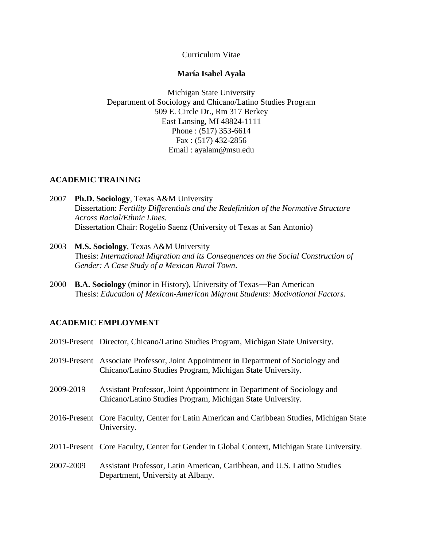Curriculum Vitae

### **María Isabel Ayala**

Michigan State University Department of Sociology and Chicano/Latino Studies Program 509 E. Circle Dr., Rm 317 Berkey East Lansing, MI 48824-1111 Phone : (517) 353-6614 Fax : (517) 432-2856 Email : ayalam@msu.edu

### **ACADEMIC TRAINING**

- 2007 **Ph.D. Sociology**, Texas A&M University Dissertation: *Fertility Differentials and the Redefinition of the Normative Structure Across Racial/Ethnic Lines.* Dissertation Chair: Rogelio Saenz (University of Texas at San Antonio)
- 2003 **M.S. Sociology**, Texas A&M University Thesis: *International Migration and its Consequences on the Social Construction of Gender: A Case Study of a Mexican Rural Town*.
- 2000 **B.A. Sociology** (minor in History), University of Texas―Pan American Thesis: *Education of Mexican-American Migrant Students: Motivational Factors.*

# **ACADEMIC EMPLOYMENT**

|           | 2019-Present Director, Chicano/Latino Studies Program, Michigan State University.                                                                |
|-----------|--------------------------------------------------------------------------------------------------------------------------------------------------|
|           | 2019-Present Associate Professor, Joint Appointment in Department of Sociology and<br>Chicano/Latino Studies Program, Michigan State University. |
| 2009-2019 | Assistant Professor, Joint Appointment in Department of Sociology and<br>Chicano/Latino Studies Program, Michigan State University.              |
|           | 2016-Present Core Faculty, Center for Latin American and Caribbean Studies, Michigan State<br>University.                                        |
|           | 2011-Present Core Faculty, Center for Gender in Global Context, Michigan State University.                                                       |
| 2007-2009 | Assistant Professor, Latin American, Caribbean, and U.S. Latino Studies<br>Department, University at Albany.                                     |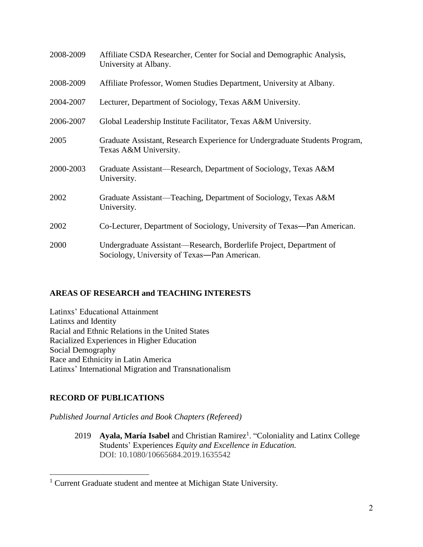| 2008-2009 | Affiliate CSDA Researcher, Center for Social and Demographic Analysis,<br>University at Albany.                     |
|-----------|---------------------------------------------------------------------------------------------------------------------|
| 2008-2009 | Affiliate Professor, Women Studies Department, University at Albany.                                                |
| 2004-2007 | Lecturer, Department of Sociology, Texas A&M University.                                                            |
| 2006-2007 | Global Leadership Institute Facilitator, Texas A&M University.                                                      |
| 2005      | Graduate Assistant, Research Experience for Undergraduate Students Program,<br>Texas A&M University.                |
| 2000-2003 | Graduate Assistant—Research, Department of Sociology, Texas A&M<br>University.                                      |
| 2002      | Graduate Assistant—Teaching, Department of Sociology, Texas A&M<br>University.                                      |
| 2002      | Co-Lecturer, Department of Sociology, University of Texas—Pan American.                                             |
| 2000      | Undergraduate Assistant—Research, Borderlife Project, Department of<br>Sociology, University of Texas-Pan American. |

## **AREAS OF RESEARCH and TEACHING INTERESTS**

Latinxs' Educational Attainment Latinxs and Identity Racial and Ethnic Relations in the United States Racialized Experiences in Higher Education Social Demography Race and Ethnicity in Latin America Latinxs' International Migration and Transnationalism

### **RECORD OF PUBLICATIONS**

 $\overline{a}$ 

*Published Journal Articles and Book Chapters (Refereed)*

2019 **Ayala, María Isabel** and Christian Ramirez<sup>1</sup>. "Coloniality and Latinx College Students' Experiences *Equity and Excellence in Education.* DOI: [10.1080/10665684.2019.1635542](https://doi.org/10.1080/10665684.2019.1635542)

<sup>&</sup>lt;sup>1</sup> Current Graduate student and mentee at Michigan State University.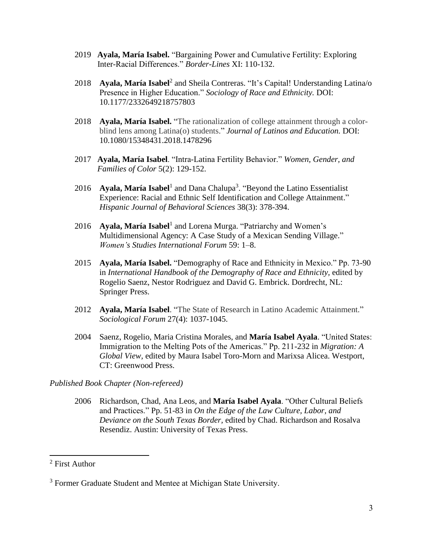- 2019 **Ayala, María Isabel.** "Bargaining Power and Cumulative Fertility: Exploring Inter-Racial Differences." *Border-Lines* XI: 110-132.
- 2018 **Ayala, María Isabel**<sup>2</sup> and Sheila Contreras. "It's Capital! Understanding Latina/o Presence in Higher Education." *Sociology of Race and Ethnicity.* DOI: 10.1177/2332649218757803
- 2018 **Ayala, María Isabel.** "The rationalization of college attainment through a colorblind lens among Latina(o) students." *Journal of Latinos and Education.* DOI: 10.1080/15348431.2018.1478296
- 2017 **Ayala, María Isabel**. "Intra-Latina Fertility Behavior." *Women, Gender, and Families of Color* 5(2): 129-152.
- 2016 **Ayala, María Isabel**<sup>1</sup> and Dana Chalupa<sup>3</sup>. "Beyond the Latino Essentialist Experience: Racial and Ethnic Self Identification and College Attainment." *Hispanic Journal of Behavioral Sciences* 38(3): 378-394.
- 2016 **Ayala, María Isabel**<sup>1</sup> and Lorena Murga. "Patriarchy and Women's Multidimensional Agency: A Case Study of a Mexican Sending Village." *Women's Studies International Forum* [59:](http://www.sciencedirect.com/science/journal/02775395/59/supp/C) 1–8.
- 2015 **Ayala, María Isabel.** "Demography of Race and Ethnicity in Mexico." Pp. 73-90 in *International Handbook of the Demography of Race and Ethnicity,* edited by Rogelio Saenz, Nestor Rodriguez and David G. Embrick. Dordrecht, NL: Springer Press.
- 2012 **Ayala, María Isabel**. "The State of Research in Latino Academic Attainment." *Sociological Forum* 27(4): 1037-1045.
- 2004 Saenz, Rogelio, Maria Cristina Morales, and **María Isabel Ayala**. "United States: Immigration to the Melting Pots of the Americas." Pp. 211-232 in *Migration: A Global View,* edited by Maura Isabel Toro-Morn and Marixsa Alicea. Westport, CT: Greenwood Press.

### *Published Book Chapter (Non-refereed)*

2006 Richardson, Chad, Ana Leos, and **María Isabel Ayala**. "Other Cultural Beliefs and Practices." Pp. 51-83 in *On the Edge of the Law Culture, Labor, and Deviance on the South Texas Border,* edited by Chad. Richardson and Rosalva Resendiz. Austin: University of Texas Press.

 $\overline{a}$ 

<sup>2</sup> First Author

<sup>&</sup>lt;sup>3</sup> Former Graduate Student and Mentee at Michigan State University.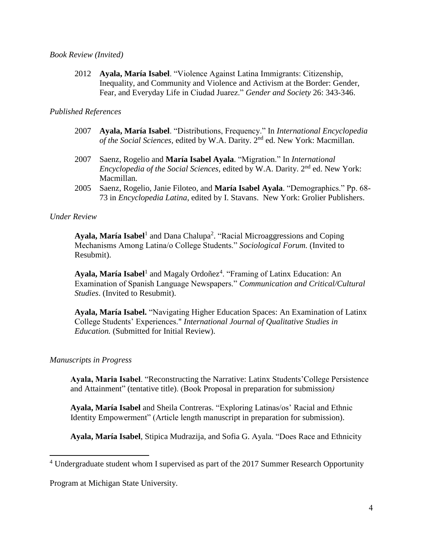#### *Book Review (Invited)*

2012 **Ayala, María Isabel**. "Violence Against Latina Immigrants: Citizenship, Inequality, and Community and Violence and Activism at the Border: Gender, Fear, and Everyday Life in Ciudad Juarez." *Gender and Society* 26: 343-346.

### *Published References*

- 2007 **Ayala, María Isabel**. "Distributions, Frequency." In *International Encyclopedia of the Social Sciences,* edited by W.A. Darity. 2nd ed. New York: Macmillan.
- 2007 Saenz, Rogelio and **María Isabel Ayala**. "Migration." In *International Encyclopedia of the Social Sciences, edited by W.A. Darity.* 2<sup>nd</sup> ed. New York: Macmillan.
- 2005 Saenz, Rogelio, Janie Filoteo, and **María Isabel Ayala**. "Demographics." Pp. 68- 73 in *Encyclopedia Latina*, edited by I. Stavans. New York: Grolier Publishers.

### *Under Review*

Ayala, María Isabel<sup>1</sup> and Dana Chalupa<sup>2</sup>. "Racial Microaggressions and Coping Mechanisms Among Latina/o College Students." *Sociological Forum.* (Invited to Resubmit).

Ayala, María Isabel<sup>1</sup> and Magaly Ordoñez<sup>4</sup>. "Framing of Latinx Education: An Examination of Spanish Language Newspapers." *Communication and Critical/Cultural Studies*. (Invited to Resubmit).

**Ayala, María Isabel.** "Navigating Higher Education Spaces: An Examination of Latinx College Students' Experiences." *International Journal of Qualitative Studies in Education.* (Submitted for Initial Review).

### *Manuscripts in Progress*

 $\overline{a}$ 

**Ayala, Maria Isabel**. "Reconstructing the Narrative: Latinx Students'College Persistence and Attainment" (tentative title). (Book Proposal in preparation for submission*)*

 **Ayala, María Isabel** and Sheila Contreras. "Exploring Latinas/os' Racial and Ethnic Identity Empowerment" (Article length manuscript in preparation for submission).

**Ayala, María Isabel**, Stipica Mudrazija, and Sofia G. Ayala. "Does Race and Ethnicity

Program at Michigan State University.

<sup>&</sup>lt;sup>4</sup> Undergraduate student whom I supervised as part of the 2017 Summer Research Opportunity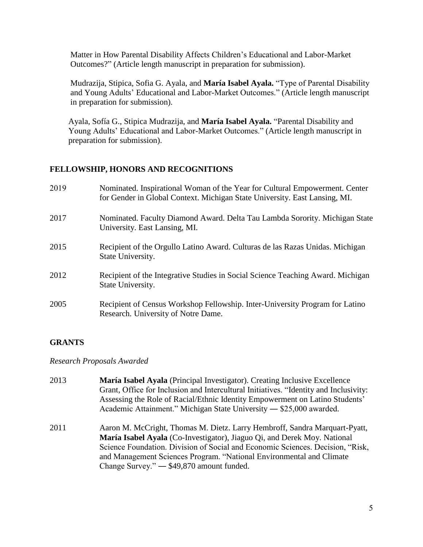Matter in How Parental Disability Affects Children's Educational and Labor-Market Outcomes?" (Article length manuscript in preparation for submission).

 Mudrazija, Stipica, Sofia G. Ayala, and **María Isabel Ayala.** "Type of Parental Disability and Young Adults' Educational and Labor-Market Outcomes." (Article length manuscript in preparation for submission).

 Ayala, Sofía G., Stipica Mudrazija, and **María Isabel Ayala.** "Parental Disability and Young Adults' Educational and Labor-Market Outcomes." (Article length manuscript in preparation for submission).

### **FELLOWSHIP, HONORS AND RECOGNITIONS**

| 2019 | Nominated. Inspirational Woman of the Year for Cultural Empowerment. Center<br>for Gender in Global Context. Michigan State University. East Lansing, MI. |
|------|-----------------------------------------------------------------------------------------------------------------------------------------------------------|
| 2017 | Nominated. Faculty Diamond Award. Delta Tau Lambda Sorority. Michigan State<br>University. East Lansing, MI.                                              |
| 2015 | Recipient of the Orgullo Latino Award. Culturas de las Razas Unidas. Michigan<br>State University.                                                        |
| 2012 | Recipient of the Integrative Studies in Social Science Teaching Award. Michigan<br>State University.                                                      |
| 2005 | Recipient of Census Workshop Fellowship. Inter-University Program for Latino<br>Research. University of Notre Dame.                                       |

# **GRANTS**

*Research Proposals Awarded*

- 2013 **María Isabel Ayala** (Principal Investigator). Creating Inclusive Excellence Grant, Office for Inclusion and Intercultural Initiatives. "Identity and Inclusivity: Assessing the Role of Racial/Ethnic Identity Empowerment on Latino Students' Academic Attainment." Michigan State University ― \$25,000 awarded.
- 2011 Aaron M. McCright, Thomas M. Dietz. Larry Hembroff, Sandra Marquart-Pyatt, **María Isabel Ayala** (Co-Investigator), Jiaguo Qi, and Derek Moy. National Science Foundation. Division of Social and Economic Sciences. Decision, "Risk, and Management Sciences Program. "National Environmental and Climate Change Survey." ― \$49,870 amount funded.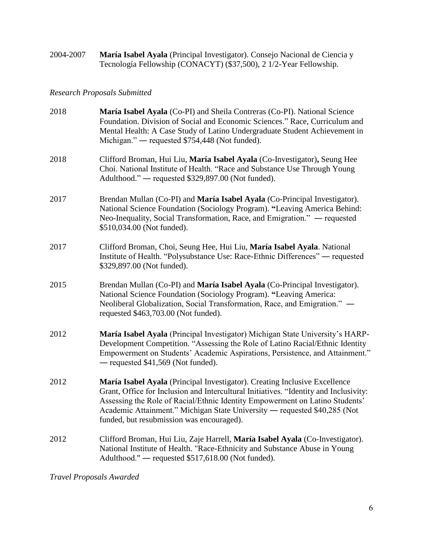2004-2007 **María Isabel Ayala** (Principal Investigator). Consejo Nacional de Ciencia y Tecnología Fellowship (CONACYT) (\$37,500), 2 1/2-Year Fellowship.

## *Research Proposals Submitted*

| 2018 | María Isabel Ayala (Co-PI) and Sheila Contreras (Co-PI). National Science<br>Foundation. Division of Social and Economic Sciences." Race, Curriculum and<br>Mental Health: A Case Study of Latino Undergraduate Student Achievement in<br>Michigan." — requested \$754,448 (Not funded).                                                                                      |
|------|-------------------------------------------------------------------------------------------------------------------------------------------------------------------------------------------------------------------------------------------------------------------------------------------------------------------------------------------------------------------------------|
| 2018 | Clifford Broman, Hui Liu, María Isabel Ayala (Co-Investigator), Seung Hee<br>Choi. National Institute of Health. "Race and Substance Use Through Young<br>Adulthood." — requested \$329,897.00 (Not funded).                                                                                                                                                                  |
| 2017 | Brendan Mullan (Co-PI) and María Isabel Ayala (Co-Principal Investigator).<br>National Science Foundation (Sociology Program). "Leaving America Behind:<br>Neo-Inequality, Social Transformation, Race, and Emigration." — requested<br>\$510,034.00 (Not funded).                                                                                                            |
| 2017 | Clifford Broman, Choi, Seung Hee, Hui Liu, María Isabel Ayala. National<br>Institute of Health. "Polysubstance Use: Race-Ethnic Differences" — requested<br>\$329,897.00 (Not funded).                                                                                                                                                                                        |
| 2015 | Brendan Mullan (Co-PI) and María Isabel Ayala (Co-Principal Investigator).<br>National Science Foundation (Sociology Program). "Leaving America:<br>Neoliberal Globalization, Social Transformation, Race, and Emigration." -<br>requested \$463,703.00 (Not funded).                                                                                                         |
| 2012 | María Isabel Ayala (Principal Investigator) Michigan State University's HARP-<br>Development Competition. "Assessing the Role of Latino Racial/Ethnic Identity<br>Empowerment on Students' Academic Aspirations, Persistence, and Attainment."<br>$-$ requested \$41,569 (Not funded).                                                                                        |
| 2012 | María Isabel Ayala (Principal Investigator). Creating Inclusive Excellence<br>Grant, Office for Inclusion and Intercultural Initiatives. "Identity and Inclusivity:<br>Assessing the Role of Racial/Ethnic Identity Empowerment on Latino Students'<br>Academic Attainment." Michigan State University — requested \$40,285 (Not<br>funded, but resubmission was encouraged). |
| 2012 | Clifford Broman, Hui Liu, Zaje Harrell, María Isabel Ayala (Co-Investigator).<br>National Institute of Health. "Race-Ethnicity and Substance Abuse in Young<br>Adulthood." - requested \$517,618.00 (Not funded).                                                                                                                                                             |

*Travel Proposals Awarded*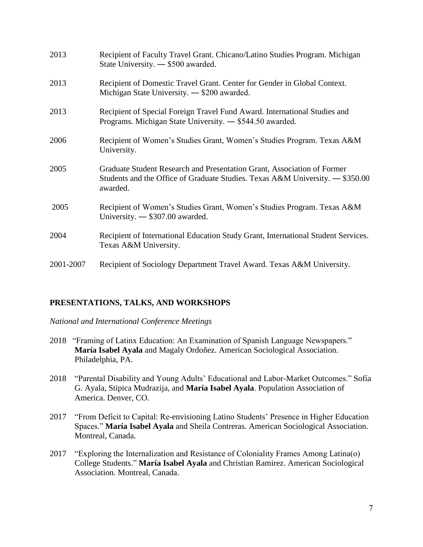| 2013      | Recipient of Faculty Travel Grant. Chicano/Latino Studies Program. Michigan<br>State University. — \$500 awarded.                                                    |
|-----------|----------------------------------------------------------------------------------------------------------------------------------------------------------------------|
| 2013      | Recipient of Domestic Travel Grant. Center for Gender in Global Context.<br>Michigan State University. $-$ \$200 awarded.                                            |
| 2013      | Recipient of Special Foreign Travel Fund Award. International Studies and<br>Programs. Michigan State University. - \$544.50 awarded.                                |
| 2006      | Recipient of Women's Studies Grant, Women's Studies Program. Texas A&M<br>University.                                                                                |
| 2005      | Graduate Student Research and Presentation Grant, Association of Former<br>Students and the Office of Graduate Studies. Texas A&M University. — \$350.00<br>awarded. |
| 2005      | Recipient of Women's Studies Grant, Women's Studies Program. Texas A&M<br>University. $-$ \$307.00 awarded.                                                          |
| 2004      | Recipient of International Education Study Grant, International Student Services.<br>Texas A&M University.                                                           |
| 2001-2007 | Recipient of Sociology Department Travel Award. Texas A&M University.                                                                                                |

### **PRESENTATIONS, TALKS, AND WORKSHOPS**

*National and International Conference Meetings*

- 2018 "Framing of Latinx Education: An Examination of Spanish Language Newspapers." **María Isabel Ayala** and Magaly Ordoñez. American Sociological Association. Philadelphia, PA.
- 2018 "Parental Disability and Young Adults' Educational and Labor-Market Outcomes." Sofía G. Ayala, Stipica Mudrazija, and **María Isabel Ayala**. Population Association of America. Denver, CO.
- 2017 "From Deficit to Capital: Re-envisioning Latino Students' Presence in Higher Education Spaces." **María Isabel Ayala** and Sheila Contreras. American Sociological Association. Montreal, Canada.
- 2017 "Exploring the Internalization and Resistance of Coloniality Frames Among Latina(o) College Students." **María Isabel Ayala** and Christian Ramirez. American Sociological Association. Montreal, Canada.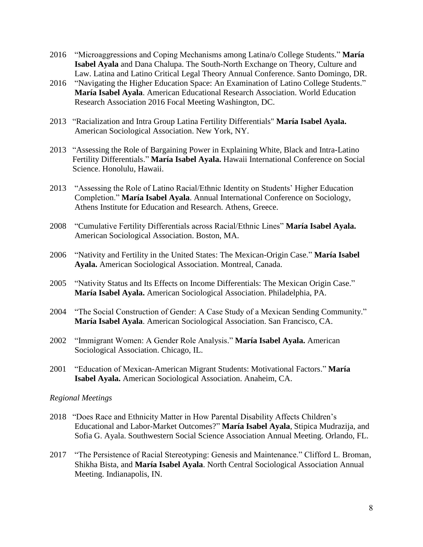- 2016 "Microaggressions and Coping Mechanisms among Latina/o College Students." **María Isabel Ayala** and Dana Chalupa. The South-North Exchange on Theory, Culture and Law. Latina and Latino Critical Legal Theory Annual Conference. Santo Domingo, DR.
- 2016 "Navigating the Higher Education Space: An Examination of Latino College Students." **María Isabel Ayala**. American Educational Research Association. World Education Research Association 2016 Focal Meeting Washington, DC.
- 2013 "Racialization and Intra Group Latina Fertility Differentials" **María Isabel Ayala.** American Sociological Association. New York, NY.
- 2013 "Assessing the Role of Bargaining Power in Explaining White, Black and Intra-Latino Fertility Differentials." **María Isabel Ayala.** Hawaii International Conference on Social Science. Honolulu, Hawaii.
- 2013 "Assessing the Role of Latino Racial/Ethnic Identity on Students' Higher Education Completion." **María Isabel Ayala**. Annual International Conference on Sociology, Athens Institute for Education and Research. Athens, Greece.
- 2008 "Cumulative Fertility Differentials across Racial/Ethnic Lines" **María Isabel Ayala.** American Sociological Association. Boston, MA.
- 2006 "Nativity and Fertility in the United States: The Mexican-Origin Case." **María Isabel Ayala.** American Sociological Association. Montreal, Canada.
- 2005 "Nativity Status and Its Effects on Income Differentials: The Mexican Origin Case." **María Isabel Ayala.** American Sociological Association. Philadelphia, PA.
- 2004 "The Social Construction of Gender: A Case Study of a Mexican Sending Community." **María Isabel Ayala**. American Sociological Association. San Francisco, CA.
- 2002 "Immigrant Women: A Gender Role Analysis." **María Isabel Ayala.** American Sociological Association. Chicago, IL.
- 2001 "Education of Mexican-American Migrant Students: Motivational Factors." **María Isabel Ayala.** American Sociological Association. Anaheim, CA.

### *Regional Meetings*

- 2018 "Does Race and Ethnicity Matter in How Parental Disability Affects Children's Educational and Labor-Market Outcomes?" **María Isabel Ayala**, Stipica Mudrazija, and Sofia G. Ayala. Southwestern Social Science Association Annual Meeting. Orlando, FL.
- 2017 "The Persistence of Racial Stereotyping: Genesis and Maintenance." Clifford L. Broman, Shikha Bista, and **María Isabel Ayala**. North Central Sociological Association Annual Meeting. Indianapolis, IN.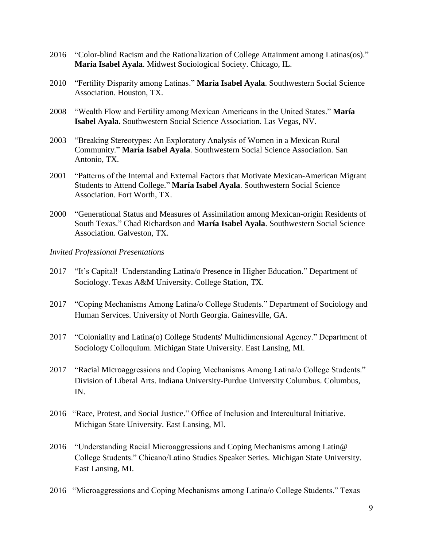- 2016 "Color-blind Racism and the Rationalization of College Attainment among Latinas(os)."  **María Isabel Ayala**. Midwest Sociological Society. Chicago, IL.
- 2010 "Fertility Disparity among Latinas." **María Isabel Ayala**. Southwestern Social Science Association. Houston, TX.
- 2008 "Wealth Flow and Fertility among Mexican Americans in the United States." **María Isabel Ayala.** Southwestern Social Science Association. Las Vegas, NV.
- 2003 "Breaking Stereotypes: An Exploratory Analysis of Women in a Mexican Rural Community." **María Isabel Ayala**. Southwestern Social Science Association. San Antonio, TX.
- 2001 "Patterns of the Internal and External Factors that Motivate Mexican-American Migrant Students to Attend College." **María Isabel Ayala**. Southwestern Social Science Association. Fort Worth, TX.
- 2000 "Generational Status and Measures of Assimilation among Mexican-origin Residents of South Texas." Chad Richardson and **María Isabel Ayala**. Southwestern Social Science Association. Galveston, TX.

#### *Invited Professional Presentations*

- 2017 "It's Capital! Understanding Latina/o Presence in Higher Education." Department of Sociology. Texas A&M University. College Station, TX.
- 2017 "Coping Mechanisms Among Latina/o College Students." Department of Sociology and Human Services. University of North Georgia. Gainesville, GA.
- 2017 "Coloniality and Latina(o) College Students' Multidimensional Agency." Department of Sociology Colloquium. Michigan State University. East Lansing, MI.
- 2017 "Racial Microaggressions and Coping Mechanisms Among Latina/o College Students." Division of Liberal Arts. Indiana University-Purdue University Columbus. Columbus, IN.
- 2016 "Race, Protest, and Social Justice." Office of Inclusion and Intercultural Initiative. Michigan State University. East Lansing, MI.
- 2016 "Understanding Racial Microaggressions and Coping Mechanisms among Latin@ College Students." Chicano/Latino Studies Speaker Series. Michigan State University. East Lansing, MI.
- 2016 "Microaggressions and Coping Mechanisms among Latina/o College Students." Texas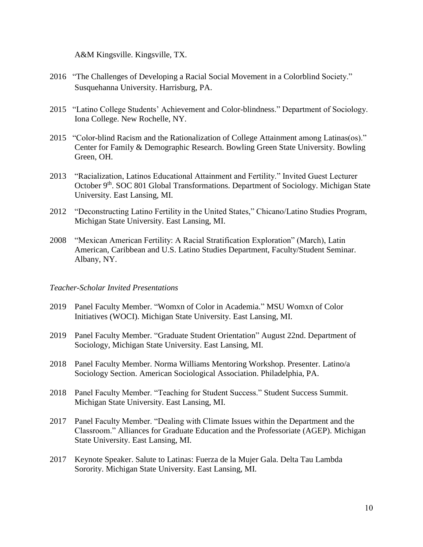A&M Kingsville. Kingsville, TX.

- 2016 "The Challenges of Developing a Racial Social Movement in a Colorblind Society." Susquehanna University. Harrisburg, PA.
- 2015 "Latino College Students' Achievement and Color-blindness." Department of Sociology. Iona College. New Rochelle, NY.
- 2015 "Color-blind Racism and the Rationalization of College Attainment among Latinas(os)." Center for Family & Demographic Research. Bowling Green State University. Bowling Green, OH.
- 2013 "Racialization, Latinos Educational Attainment and Fertility." Invited Guest Lecturer October 9<sup>th</sup>. SOC 801 Global Transformations. Department of Sociology. Michigan State University. East Lansing, MI.
- 2012 "Deconstructing Latino Fertility in the United States," Chicano/Latino Studies Program, Michigan State University. East Lansing, MI.
- 2008 "Mexican American Fertility: A Racial Stratification Exploration" (March), Latin American, Caribbean and U.S. Latino Studies Department, Faculty/Student Seminar. Albany, NY.

#### *Teacher-Scholar Invited Presentations*

- 2019 Panel Faculty Member. "Womxn of Color in Academia." MSU Womxn of Color Initiatives (WOCI). Michigan State University. East Lansing, MI.
- 2019 Panel Faculty Member. "Graduate Student Orientation" August 22nd. Department of Sociology, Michigan State University. East Lansing, MI.
- 2018 Panel Faculty Member. Norma Williams Mentoring Workshop. Presenter. Latino/a Sociology Section. American Sociological Association. Philadelphia, PA.
- 2018 Panel Faculty Member. "Teaching for Student Success." Student Success Summit. Michigan State University. East Lansing, MI.
- 2017 Panel Faculty Member. "Dealing with Climate Issues within the Department and the Classroom." Alliances for Graduate Education and the Professoriate (AGEP). Michigan State University. East Lansing, MI.
- 2017 Keynote Speaker. Salute to Latinas: Fuerza de la Mujer Gala. Delta Tau Lambda Sorority. Michigan State University. East Lansing, MI.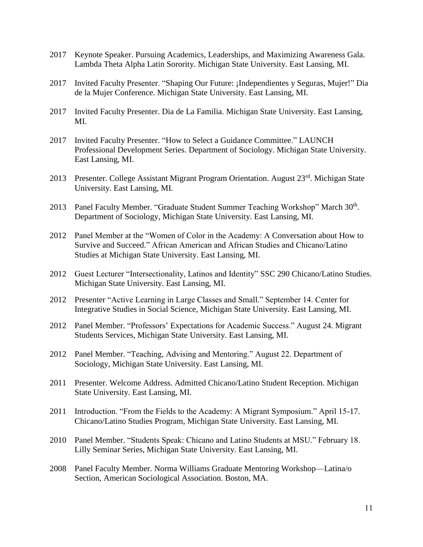- 2017 Keynote Speaker. Pursuing Academics, Leaderships, and Maximizing Awareness Gala. Lambda Theta Alpha Latin Sorority. Michigan State University. East Lansing, MI.
- 2017 Invited Faculty Presenter. "Shaping Our Future: ¡Independientes y Seguras, Mujer!" Dia de la Mujer Conference. Michigan State University. East Lansing, MI.
- 2017 Invited Faculty Presenter. Dia de La Familia. Michigan State University. East Lansing, MI.
- 2017 Invited Faculty Presenter. "How to Select a Guidance Committee." LAUNCH Professional Development Series. Department of Sociology. Michigan State University. East Lansing, MI.
- 2013 Presenter. College Assistant Migrant Program Orientation. August 23<sup>rd</sup>. Michigan State University. East Lansing, MI.
- 2013 Panel Faculty Member. "Graduate Student Summer Teaching Workshop" March 30<sup>th</sup>. Department of Sociology, Michigan State University. East Lansing, MI.
- 2012 Panel Member at the "Women of Color in the Academy: A Conversation about How to Survive and Succeed." African American and African Studies and Chicano/Latino Studies at Michigan State University. East Lansing, MI.
- 2012 Guest Lecturer "Intersectionality, Latinos and Identity" SSC 290 Chicano/Latino Studies. Michigan State University. East Lansing, MI.
- 2012 Presenter "Active Learning in Large Classes and Small." September 14. Center for Integrative Studies in Social Science, Michigan State University. East Lansing, MI.
- 2012 Panel Member. "Professors' Expectations for Academic Success." August 24. Migrant Students Services, Michigan State University. East Lansing, MI.
- 2012 Panel Member. "Teaching, Advising and Mentoring." August 22. Department of Sociology, Michigan State University. East Lansing, MI.
- 2011 Presenter. Welcome Address. Admitted Chicano/Latino Student Reception. Michigan State University. East Lansing, MI.
- 2011 Introduction. "From the Fields to the Academy: A Migrant Symposium." April 15-17. Chicano/Latino Studies Program, Michigan State University. East Lansing, MI.
- 2010 Panel Member. "Students Speak: Chicano and Latino Students at MSU." February 18. Lilly Seminar Series, Michigan State University. East Lansing, MI.
- 2008 Panel Faculty Member. Norma Williams Graduate Mentoring Workshop—Latina/o Section, American Sociological Association. Boston, MA.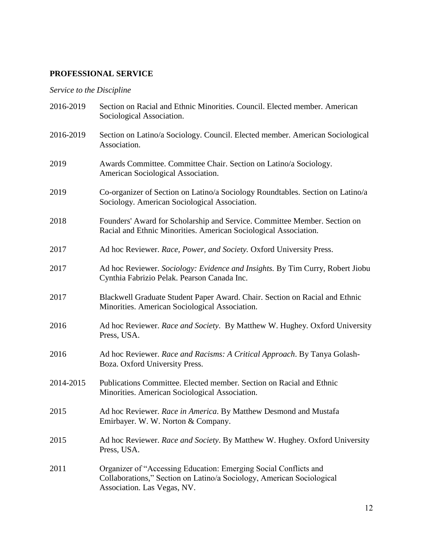# **PROFESSIONAL SERVICE**

# *Service to the Discipline*

| 2016-2019 | Section on Racial and Ethnic Minorities. Council. Elected member. American<br>Sociological Association.                                                                  |
|-----------|--------------------------------------------------------------------------------------------------------------------------------------------------------------------------|
| 2016-2019 | Section on Latino/a Sociology. Council. Elected member. American Sociological<br>Association.                                                                            |
| 2019      | Awards Committee. Committee Chair. Section on Latino/a Sociology.<br>American Sociological Association.                                                                  |
| 2019      | Co-organizer of Section on Latino/a Sociology Roundtables. Section on Latino/a<br>Sociology. American Sociological Association.                                          |
| 2018      | Founders' Award for Scholarship and Service. Committee Member. Section on<br>Racial and Ethnic Minorities. American Sociological Association.                            |
| 2017      | Ad hoc Reviewer. Race, Power, and Society. Oxford University Press.                                                                                                      |
| 2017      | Ad hoc Reviewer. Sociology: Evidence and Insights. By Tim Curry, Robert Jiobu<br>Cynthia Fabrizio Pelak. Pearson Canada Inc.                                             |
| 2017      | Blackwell Graduate Student Paper Award. Chair. Section on Racial and Ethnic<br>Minorities. American Sociological Association.                                            |
| 2016      | Ad hoc Reviewer. Race and Society. By Matthew W. Hughey. Oxford University<br>Press, USA.                                                                                |
| 2016      | Ad hoc Reviewer. Race and Racisms: A Critical Approach. By Tanya Golash-<br>Boza. Oxford University Press.                                                               |
| 2014-2015 | Publications Committee. Elected member. Section on Racial and Ethnic<br>Minorities. American Sociological Association.                                                   |
| 2015      | Ad hoc Reviewer. Race in America. By Matthew Desmond and Mustafa<br>Emirbayer. W. W. Norton & Company.                                                                   |
| 2015      | Ad hoc Reviewer. Race and Society. By Matthew W. Hughey. Oxford University<br>Press, USA.                                                                                |
| 2011      | Organizer of "Accessing Education: Emerging Social Conflicts and<br>Collaborations," Section on Latino/a Sociology, American Sociological<br>Association. Las Vegas, NV. |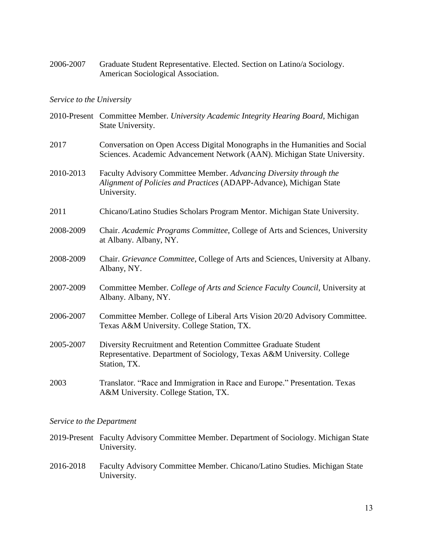2006-2007 Graduate Student Representative. Elected. Section on Latino/a Sociology. American Sociological Association.

#### *Service to the University*

- 2010-Present Committee Member. *University Academic Integrity Hearing Board*, Michigan State University.
- 2017 Conversation on Open Access Digital Monographs in the Humanities and Social Sciences. Academic Advancement Network (AAN). Michigan State University.
- 2010-2013 Faculty Advisory Committee Member. *Advancing Diversity through the Alignment of Policies and Practices* (ADAPP-Advance), Michigan State University.
- 2011 Chicano/Latino Studies Scholars Program Mentor. Michigan State University.
- 2008-2009 Chair. *Academic Programs Committee*, College of Arts and Sciences, University at Albany. Albany, NY.
- 2008-2009 Chair. *Grievance Committee*, College of Arts and Sciences, University at Albany. Albany, NY.
- 2007-2009 Committee Member. *College of Arts and Science Faculty Council*, University at Albany. Albany, NY.
- 2006-2007 Committee Member. College of Liberal Arts Vision 20/20 Advisory Committee. Texas A&M University. College Station, TX.
- 2005-2007 Diversity Recruitment and Retention Committee Graduate Student Representative. Department of Sociology, Texas A&M University. College Station, TX.
- 2003 Translator. "Race and Immigration in Race and Europe." Presentation. Texas A&M University. College Station, TX.

#### *Service to the Department*

- 2019-Present Faculty Advisory Committee Member. Department of Sociology. Michigan State University.
- 2016-2018 Faculty Advisory Committee Member. Chicano/Latino Studies. Michigan State University.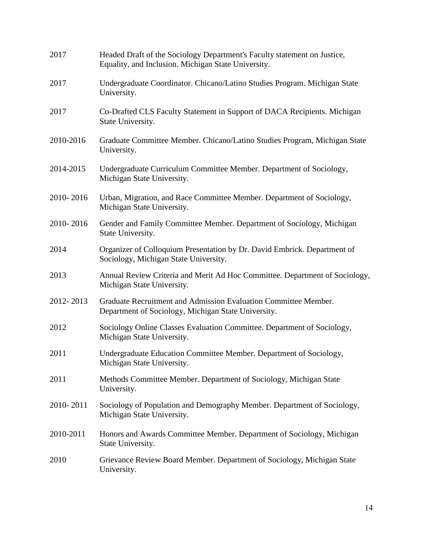| 2017      | Headed Draft of the Sociology Department's Faculty statement on Justice,<br>Equality, and Inclusion. Michigan State University. |
|-----------|---------------------------------------------------------------------------------------------------------------------------------|
| 2017      | Undergraduate Coordinator. Chicano/Latino Studies Program. Michigan State<br>University.                                        |
| 2017      | Co-Drafted CLS Faculty Statement in Support of DACA Recipients. Michigan<br>State University.                                   |
| 2010-2016 | Graduate Committee Member. Chicano/Latino Studies Program, Michigan State<br>University.                                        |
| 2014-2015 | Undergraduate Curriculum Committee Member. Department of Sociology,<br>Michigan State University.                               |
| 2010-2016 | Urban, Migration, and Race Committee Member. Department of Sociology,<br>Michigan State University.                             |
| 2010-2016 | Gender and Family Committee Member. Department of Sociology, Michigan<br>State University.                                      |
| 2014      | Organizer of Colloquium Presentation by Dr. David Embrick. Department of<br>Sociology, Michigan State University.               |
| 2013      | Annual Review Criteria and Merit Ad Hoc Committee. Department of Sociology,<br>Michigan State University.                       |
| 2012-2013 | Graduate Recruitment and Admission Evaluation Committee Member.<br>Department of Sociology, Michigan State University.          |
| 2012      | Sociology Online Classes Evaluation Committee. Department of Sociology,<br>Michigan State University.                           |
| 2011      | Undergraduate Education Committee Member. Department of Sociology,<br>Michigan State University.                                |
| 2011      | Methods Committee Member. Department of Sociology, Michigan State<br>University.                                                |
| 2010-2011 | Sociology of Population and Demography Member. Department of Sociology,<br>Michigan State University.                           |
| 2010-2011 | Honors and Awards Committee Member. Department of Sociology, Michigan<br>State University.                                      |
| 2010      | Grievance Review Board Member. Department of Sociology, Michigan State<br>University.                                           |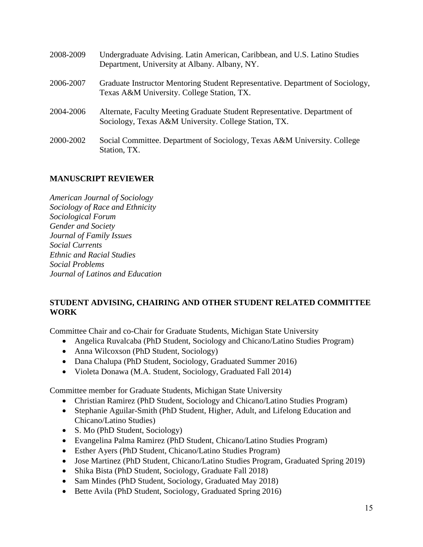| 2008-2009 | Undergraduate Advising. Latin American, Caribbean, and U.S. Latino Studies<br>Department, University at Albany. Albany, NY.        |
|-----------|------------------------------------------------------------------------------------------------------------------------------------|
| 2006-2007 | Graduate Instructor Mentoring Student Representative. Department of Sociology,<br>Texas A&M University. College Station, TX.       |
| 2004-2006 | Alternate, Faculty Meeting Graduate Student Representative. Department of<br>Sociology, Texas A&M University. College Station, TX. |
| 2000-2002 | Social Committee. Department of Sociology, Texas A&M University. College<br>Station, TX.                                           |

# **MANUSCRIPT REVIEWER**

*American Journal of Sociology Sociology of Race and Ethnicity Sociological Forum Gender and Society Journal of Family Issues Social Currents Ethnic and Racial Studies Social Problems Journal of Latinos and Education*

## **STUDENT ADVISING, CHAIRING AND OTHER STUDENT RELATED COMMITTEE WORK**

Committee Chair and co-Chair for Graduate Students, Michigan State University

- Angelica Ruvalcaba (PhD Student, Sociology and Chicano/Latino Studies Program)
- Anna Wilcoxson (PhD Student, Sociology)
- Dana Chalupa (PhD Student, Sociology, Graduated Summer 2016)
- Violeta Donawa (M.A. Student, Sociology, Graduated Fall 2014)

Committee member for Graduate Students, Michigan State University

- Christian Ramirez (PhD Student, Sociology and Chicano/Latino Studies Program)
- Stephanie Aguilar-Smith (PhD Student, Higher, Adult, and Lifelong Education and Chicano/Latino Studies)
- S. Mo (PhD Student, Sociology)
- Evangelina Palma Ramirez (PhD Student, Chicano/Latino Studies Program)
- Esther Ayers (PhD Student, Chicano/Latino Studies Program)
- Jose Martinez (PhD Student, Chicano/Latino Studies Program, Graduated Spring 2019)
- Shika Bista (PhD Student, Sociology, Graduate Fall 2018)
- Sam Mindes (PhD Student, Sociology, Graduated May 2018)
- Bette Avila (PhD Student, Sociology, Graduated Spring 2016)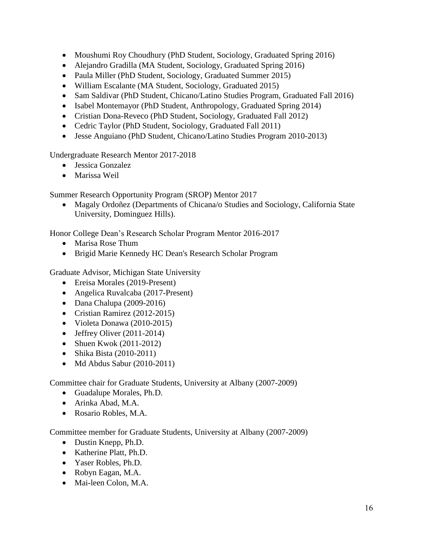- [Moushumi Roy Choudhury](https://mail.msu.edu/imp/message.php?mailbox=INBOX.MSU+Students&index=19) (PhD Student, Sociology, Graduated Spring 2016)
- Alejandro Gradilla (MA Student, Sociology, Graduated Spring 2016)
- Paula Miller (PhD Student, Sociology, Graduated Summer 2015)
- William Escalante (MA Student, Sociology, Graduated 2015)
- Sam Saldivar (PhD Student, Chicano/Latino Studies Program, Graduated Fall 2016)
- Isabel Montemayor (PhD Student, Anthropology, Graduated Spring 2014)
- Cristian Dona-Reveco (PhD Student, Sociology, Graduated Fall 2012)
- Cedric Taylor (PhD Student, Sociology, Graduated Fall 2011)
- Jesse Anguiano (PhD Student, Chicano/Latino Studies Program 2010-2013)

Undergraduate Research Mentor 2017-2018

- Jessica Gonzalez
- Marissa Weil

Summer Research Opportunity Program (SROP) Mentor 2017

 Magaly Ordoñez (Departments of Chicana/o Studies and Sociology, California State University, Dominguez Hills).

Honor College Dean's Research Scholar Program Mentor 2016-2017

- Marisa Rose Thum
- Brigid Marie Kennedy HC Dean's Research Scholar Program

Graduate Advisor, Michigan State University

- Ereisa Morales (2019-Present)
- Angelica Ruvalcaba (2017-Present)
- $\bullet$  Dana Chalupa (2009-2016)
- Cristian Ramirez (2012-2015)
- Violeta Donawa (2010-2015)
- $\bullet$  Jeffrey Oliver (2011-2014)
- Shuen Kwok  $(2011-2012)$
- $\bullet$  Shika Bista (2010-2011)
- $\bullet$  Md Abdus Sabur (2010-2011)

Committee chair for Graduate Students, University at Albany (2007-2009)

- Guadalupe Morales, Ph.D.
- Arinka Abad, M.A.
- Rosario Robles, M.A.

Committee member for Graduate Students, University at Albany (2007-2009)

- Dustin Knepp, Ph.D.
- Katherine Platt, Ph.D.
- Yaser Robles, Ph.D.
- Robyn Eagan, M.A.
- Mai-leen Colon, M.A.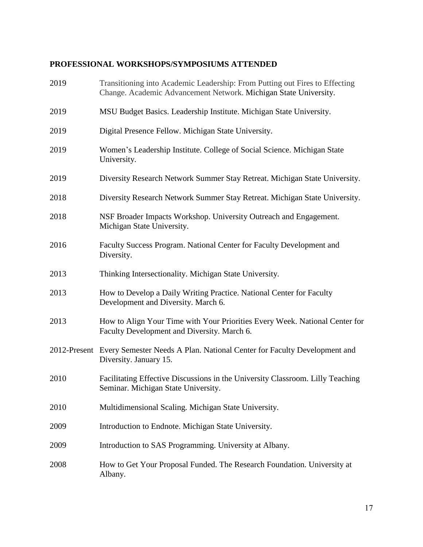# **PROFESSIONAL WORKSHOPS/SYMPOSIUMS ATTENDED**

| 2019 | Transitioning into Academic Leadership: From Putting out Fires to Effecting<br>Change. Academic Advancement Network. Michigan State University. |
|------|-------------------------------------------------------------------------------------------------------------------------------------------------|
| 2019 | MSU Budget Basics. Leadership Institute. Michigan State University.                                                                             |
| 2019 | Digital Presence Fellow. Michigan State University.                                                                                             |
| 2019 | Women's Leadership Institute. College of Social Science. Michigan State<br>University.                                                          |
| 2019 | Diversity Research Network Summer Stay Retreat. Michigan State University.                                                                      |
| 2018 | Diversity Research Network Summer Stay Retreat. Michigan State University.                                                                      |
| 2018 | NSF Broader Impacts Workshop. University Outreach and Engagement.<br>Michigan State University.                                                 |
| 2016 | Faculty Success Program. National Center for Faculty Development and<br>Diversity.                                                              |
| 2013 | Thinking Intersectionality. Michigan State University.                                                                                          |
| 2013 | How to Develop a Daily Writing Practice. National Center for Faculty<br>Development and Diversity. March 6.                                     |
| 2013 | How to Align Your Time with Your Priorities Every Week. National Center for<br>Faculty Development and Diversity. March 6.                      |
|      | 2012-Present Every Semester Needs A Plan. National Center for Faculty Development and<br>Diversity. January 15.                                 |
| 2010 | Facilitating Effective Discussions in the University Classroom. Lilly Teaching<br>Seminar. Michigan State University.                           |
| 2010 | Multidimensional Scaling. Michigan State University.                                                                                            |
| 2009 | Introduction to Endnote. Michigan State University.                                                                                             |
| 2009 | Introduction to SAS Programming. University at Albany.                                                                                          |
| 2008 | How to Get Your Proposal Funded. The Research Foundation. University at<br>Albany.                                                              |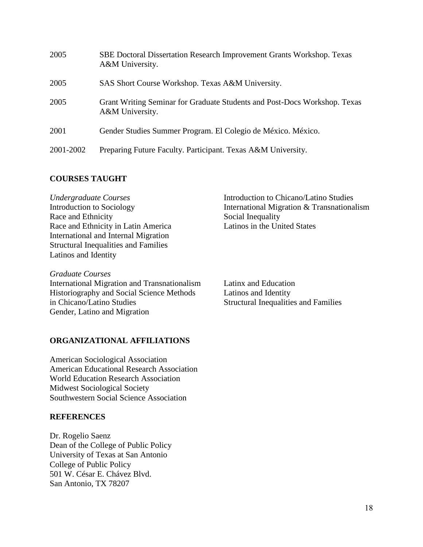| 2005      | SBE Doctoral Dissertation Research Improvement Grants Workshop. Texas<br>A&M University.     |
|-----------|----------------------------------------------------------------------------------------------|
| 2005      | SAS Short Course Workshop. Texas A&M University.                                             |
| 2005      | Grant Writing Seminar for Graduate Students and Post-Docs Workshop. Texas<br>A&M University. |
| 2001      | Gender Studies Summer Program. El Colegio de México. México.                                 |
| 2001-2002 | Preparing Future Faculty. Participant. Texas A&M University.                                 |

## **COURSES TAUGHT**

*Undergraduate Courses* Introduction to Sociology Race and Ethnicity Race and Ethnicity in Latin America International and Internal Migration Structural Inequalities and Families Latinos and Identity

Introduction to Chicano/Latino Studies International Migration & Transnationalism Social Inequality Latinos in the United States

*Graduate Courses* International Migration and Transnationalism Latinx and Education Historiography and Social Science Methods Latinos and Identity in Chicano/Latino Studies Structural Inequalities and Families Gender, Latino and Migration

**ORGANIZATIONAL AFFILIATIONS**

American Sociological Association American Educational Research Association World Education Research Association Midwest Sociological Society Southwestern Social Science Association

### **REFERENCES**

Dr. Rogelio Saenz Dean of the College of Public Policy University of Texas at San Antonio College of Public Policy 501 W. César E. Chávez Blvd. San Antonio, TX 78207